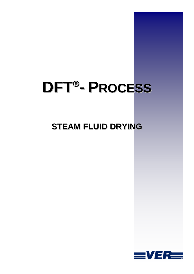# **DFT - PROCESS**

# **STEAM FLUID DRYING**

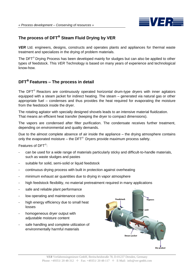

### The process of DFT<sup>®</sup> Steam Fluid Drying by VER

*VER* Ltd. engineers, designs, constructs and operates plants and appliances for thermal waste treatment and specializes in the drying of problem materials.

The  $DFT^{\circ}$  Drying Process has been developed mainly for sludges but can also be applied to other types of feedstock. This *VER* Technology is based on many years of experience and technological know-how.

#### **DFT Features – The process in detail**

The DFT<sup>®</sup> Reactors are continuously operated horizontal drum-type dryers with inner agitators equipped with a steam jacket for indirect heating. The steam – generated via natural gas or other appropriate fuel – condenses and thus provides the heat required for evaporating the moisture from the feedstock inside the dryer.

The rotating agitator with specially designed shovels leads to an intensive material fluidization. That means an efficient heat transfer (keeping the dryer to compact dimensions).

The vapors are condensed after filter purification. The condensate receives further treatment, depending on environmental and quality demands.

Due to the almost complete absence of air inside the appliance – the drying atmosphere contains only the evaporated moisture – the DFT $^{\circ}$  Dryers provide maximum process safety.

Features of DFT<sup>®</sup>:

- can be used for a wide range of materials particularly sticky and difficult-to-handle materials, such as waste sludges and pastes
- suitable for solid, semi-solid or liquid feedstock
- continuous drying process with built in protection against overheating
- minimum exhaust air quantities due to drying in vapor atmosphere
- high feedstock flexibility, no material pretreatment required in many applications
- safe and reliable plant performance
- low operating and maintenance costs
- high energy efficiency due to small heat losses
- homogeneous dryer output with adjustable moisture content
- safe handling and complete utilization of environmentally harmful materials

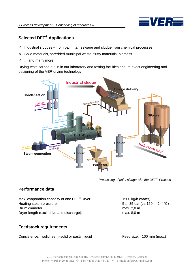

## **Selected DFT<sup>®</sup> Applications**

- $\Rightarrow$  Industrial sludges from paint, tar, sewage and sludge from chemical processes
- $\Rightarrow$  Solid materials, shredded municipal waste, fluffy materials, biomass
- $\Rightarrow$  ... and many more

Drying tests carried out in in our laboratory and testing facilities ensure exact engineering and designing of the VER drying technology.



*Processing of paint sludge with the DFT*<sup>®</sup> *Process* 

#### **Performance data**

Max. evaporation capacity of one  $DFT^{\circ}$  Dryer: 1500 kg/h (water) Heating steam pressure:  $5...35$  bar (ca.160 ... 244 °C) Drum diameter: max. 2,0 m Dryer length (excl. drive and discharge): max. 8,0 m

#### **Feedstock requirements**

Consistence: solid, semi-solid or pasty, liquid Feed size: 100 mm (max.)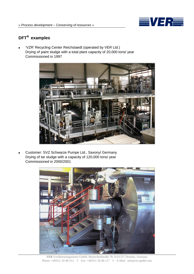

### **DFT examples**

 'VZR' Recycling Center Reichstaedt (operated by VER Ltd.) Drying of paint sludge with a total plant capacity of 20,000 tons/ year Commissioned in 1997



 Customer: SVZ Schwarze Pumpe Ltd., Saxony/ Germany Drying of tar sludge with a capacity of 120,000 tons/ year Commissioned in 2000/2001